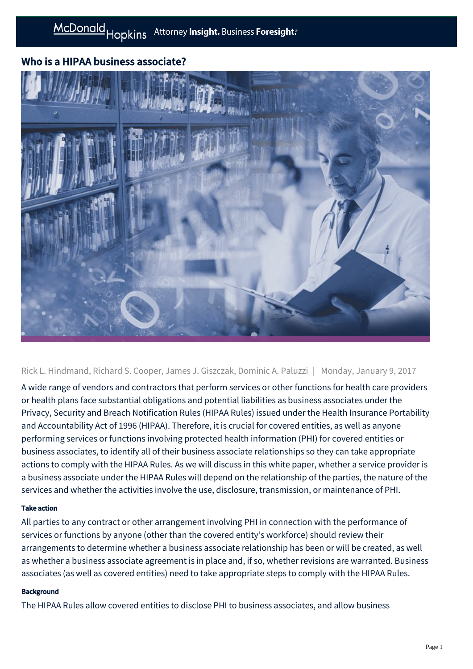# Who is a HIPAA business associate?



Rick L. Hindmand, Richard S. Cooper, James J. Giszczak, Dominic A. Paluzzi | Monday, January 9, 2017

A wide range of vendors and contractors that perform services or other functions for health care providers or health plans face substantial obligations and potential liabilities as business associates under the Privacy, Security and Breach Notification Rules (HIPAA Rules) issued under the Health Insurance Portability and Accountability Act of 1996 (HIPAA). Therefore, it is crucial for covered entities, as well as anyone performing services or functions involving protected health information (PHI) for covered entities or business associates, to identify all of their business associate relationships so they can take appropriate actions to comply with the HIPAA Rules. As we will discuss in this white paper, whether a service provider is a business associate under the HIPAA Rules will depend on the relationship of the parties, the nature of the services and whether the activities involve the use, disclosure, transmission, or maintenance of PHI.

## Take action

All parties to any contract or other arrangement involving PHI in connection with the performance of services or functions by anyone (other than the covered entity's workforce) should review their arrangements to determine whether a business associate relationship has been or will be created, as well as whether a business associate agreement is in place and, if so, whether revisions are warranted. Business associates (as well as covered entities) need to take appropriate steps to comply with the HIPAA Rules.

### **Background**

The HIPAA Rules allow covered entities to disclose PHI to business associates, and allow business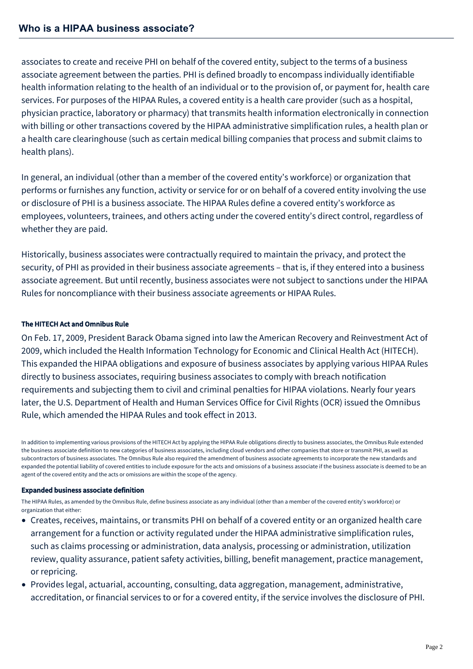associates to create and receive PHI on behalf of the covered entity, subject to the terms of a business associate agreement between the parties. PHI is defined broadly to encompass individually identifiable health information relating to the health of an individual or to the provision of, or payment for, health care services. For purposes of the HIPAA Rules, a covered entity is a health care provider (such as a hospital, physician practice, laboratory or pharmacy) that transmits health information electronically in connection with billing or other transactions covered by the HIPAA administrative simplification rules, a health plan or a health care clearinghouse (such as certain medical billing companies that process and submit claims to health plans).

In general, an individual (other than a member of the covered entity's workforce) or organization that performs or furnishes any function, activity or service for or on behalf of a covered entity involving the use or disclosure of PHI is a business associate. The HIPAA Rules define a covered entity's workforce as employees, volunteers, trainees, and others acting under the covered entity's direct control, regardless of whether they are paid.

Historically, business associates were contractually required to maintain the privacy, and protect the security, of PHI as provided in their business associate agreements – that is, if they entered into a business associate agreement. But until recently, business associates were not subject to sanctions under the HIPAA Rules for noncompliance with their business associate agreements or HIPAA Rules.

## The HITECH Act and Omnibus Rule

On Feb. 17, 2009, President Barack Obama signed into law the American Recovery and Reinvestment Act of 2009, which included the Health Information Technology for Economic and Clinical Health Act (HITECH). This expanded the HIPAA obligations and exposure of business associates by applying various HIPAA Rules directly to business associates, requiring business associates to comply with breach notification requirements and subjecting them to civil and criminal penalties for HIPAA violations. Nearly four years later, the U.S. Department of Health and Human Services Office for Civil Rights (OCR) issued the Omnibus Rule, which amended the HIPAA Rules and took effect in 2013.

In addition to implementing various provisions of the HITECH Act by applying the HIPAA Rule obligations directly to business associates, the Omnibus Rule extended the business associate definition to new categories of business associates, including cloud vendors and other companies that store or transmit PHI, as well as subcontractors of business associates. The Omnibus Rule also required the amendment of business associate agreements to incorporate the new standards and expanded the potential liability of covered entities to include exposure for the acts and omissions of a business associate if the business associate is deemed to be an agent of the covered entity and the acts or omissions are within the scope of the agency.

### Expanded business associate definition

The HIPAA Rules, as amended by the Omnibus Rule, define business associate as any individual (other than a member of the covered entity's workforce) or organization that either:

- Creates, receives, maintains, or transmits PHI on behalf of a covered entity or an organized health care arrangement for a function or activity regulated under the HIPAA administrative simplification rules, such as claims processing or administration, data analysis, processing or administration, utilization review, quality assurance, patient safety activities, billing, benefit management, practice management, or repricing.
- Provides legal, actuarial, accounting, consulting, data aggregation, management, administrative, accreditation, or financial services to or for a covered entity, if the service involves the disclosure of PHI.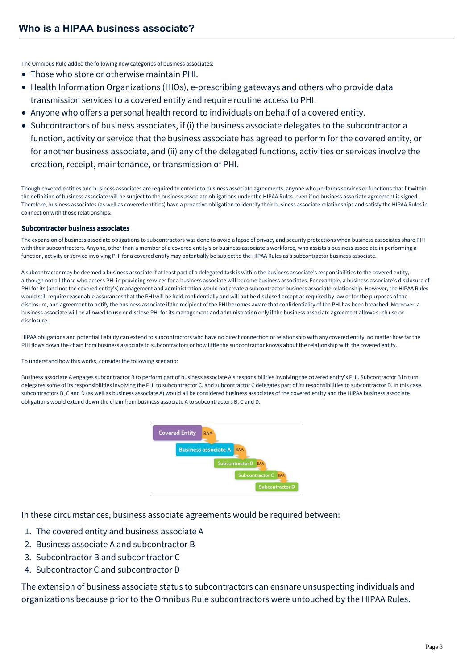The Omnibus Rule added the following new categories of business associates:

- Those who store or otherwise maintain PHI.
- Health Information Organizations (HIOs), e-prescribing gateways and others who provide data transmission services to a covered entity and require routine access to PHI.
- Anyone who offers a personal health record to individuals on behalf of a covered entity.
- Subcontractors of business associates, if (i) the business associate delegates to the subcontractor a function, activity or service that the business associate has agreed to perform for the covered entity, or for another business associate, and (ii) any of the delegated functions, activities or services involve the creation, receipt, maintenance, or transmission of PHI.

Though covered entities and business associates are required to enter into business associate agreements, anyone who performs services or functions that fit within the definition of business associate will be subject to the business associate obligations under the HIPAA Rules, even if no business associate agreement is signed. Therefore, business associates (as well as covered entities) have a proactive obligation to identify their business associate relationships and satisfy the HIPAA Rules in connection with those relationships.

#### Subcontractor business associates

The expansion of business associate obligations to subcontractors was done to avoid a lapse of privacy and security protections when business associates share PHI with their subcontractors. Anyone, other than a member of a covered entity's or business associate's workforce, who assists a business associate in performing a function, activity or service involving PHI for a covered entity may potentially be subject to the HIPAA Rules as a subcontractor business associate.

A subcontractor may be deemed a business associate if at least part of a delegated task is within the business associate's responsibilities to the covered entity, although not all those who access PHI in providing services for a business associate will become business associates. For example, a business associate's disclosure of PHI for its (and not the covered entity's) management and administration would not create a subcontractor business associate relationship. However, the HIPAA Rules would still require reasonable assurances that the PHI will be held confidentially and will not be disclosed except as required by law or for the purposes of the disclosure, and agreement to notify the business associate if the recipient of the PHI becomes aware that confidentiality of the PHI has been breached. Moreover, a business associate will be allowed to use or disclose PHI for its management and administration only if the business associate agreement allows such use or disclosure.

HIPAA obligations and potential liability can extend to subcontractors who have no direct connection or relationship with any covered entity, no matter how far the PHI flows down the chain from business associate to subcontractors or how little the subcontractor knows about the relationship with the covered entity.

To understand how this works, consider the following scenario:

Business associate A engages subcontractor B to perform part of business associate A's responsibilities involving the covered entity's PHI. Subcontractor B in turn delegates some of its responsibilities involving the PHI to subcontractor C, and subcontractor C delegates part of its responsibilities to subcontractor D. In this case, subcontractors B, C and D (as well as business associate A) would all be considered business associates of the covered entity and the HIPAA business associate obligations would extend down the chain from business associate A to subcontractors B, C and D.



In these circumstances, business associate agreements would be required between:

- 1. The covered entity and business associate A
- 2. Business associate A and subcontractor B
- 3. Subcontractor B and subcontractor C
- 4. Subcontractor C and subcontractor D

The extension of business associate status to subcontractors can ensnare unsuspecting individuals and organizations because prior to the Omnibus Rule subcontractors were untouched by the HIPAA Rules.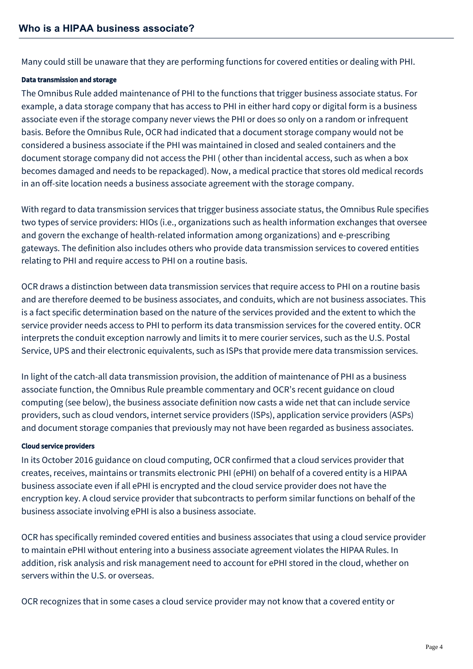Many could still be unaware that they are performing functions for covered entities or dealing with PHI.

## Data transmission and storage

The Omnibus Rule added maintenance of PHI to the functions that trigger business associate status. For example, a data storage company that has access to PHI in either hard copy or digital form is a business associate even if the storage company never views the PHI or does so only on a random or infrequent basis. Before the Omnibus Rule, OCR had indicated that a document storage company would not be considered a business associate if the PHI was maintained in closed and sealed containers and the document storage company did not access the PHI ( other than incidental access, such as when a box becomes damaged and needs to be repackaged). Now, a medical practice that stores old medical records in an off-site location needs a business associate agreement with the storage company.

With regard to data transmission services that trigger business associate status, the Omnibus Rule specifies two types of service providers: HIOs (i.e., organizations such as health information exchanges that oversee and govern the exchange of health-related information among organizations) and e-prescribing gateways. The definition also includes others who provide data transmission services to covered entities relating to PHI and require access to PHI on a routine basis.

OCR draws a distinction between data transmission services that require access to PHI on a routine basis and are therefore deemed to be business associates, and conduits, which are not business associates. This is a fact specific determination based on the nature of the services provided and the extent to which the service provider needs access to PHI to perform its data transmission services for the covered entity. OCR interprets the conduit exception narrowly and limits it to mere courier services, such as the U.S. Postal Service, UPS and their electronic equivalents, such as ISPs that provide mere data transmission services.

In light of the catch-all data transmission provision, the addition of maintenance of PHI as a business associate function, the Omnibus Rule preamble commentary and OCR's recent guidance on cloud computing (see below), the business associate definition now casts a wide net that can include service providers, such as cloud vendors, internet service providers (ISPs), application service providers (ASPs) and document storage companies that previously may not have been regarded as business associates.

## Cloud service providers

In its October 2016 guidance on cloud computing, OCR confirmed that a cloud services provider that creates, receives, maintains or transmits electronic PHI (ePHI) on behalf of a covered entity is a HIPAA business associate even if all ePHI is encrypted and the cloud service provider does not have the encryption key. A cloud service provider that subcontracts to perform similar functions on behalf of the business associate involving ePHI is also a business associate.

OCR has specifically reminded covered entities and business associates that using a cloud service provider to maintain ePHI without entering into a business associate agreement violates the HIPAA Rules. In addition, risk analysis and risk management need to account for ePHI stored in the cloud, whether on servers within the U.S. or overseas.

OCR recognizes that in some cases a cloud service provider may not know that a covered entity or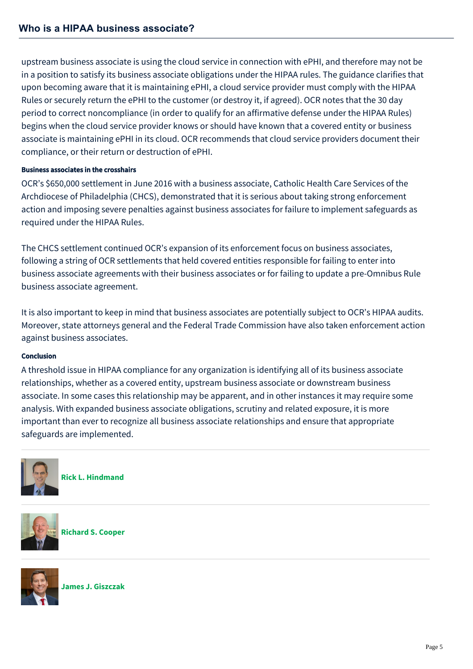upstream business associate is using the cloud service in connection with ePHI, and therefore may not be in a position to satisfy its business associate obligations under the HIPAA rules. The guidance clarifies that upon becoming aware that it is maintaining ePHI, a cloud service provider must comply with the HIPAA Rules or securely return the ePHI to the customer (or destroy it, if agreed). OCR notes that the 30 day period to correct noncompliance (in order to qualify for an affirmative defense under the HIPAA Rules) begins when the cloud service provider knows or should have known that a covered entity or business associate is maintaining ePHI in its cloud. OCR recommends that cloud service providers document their compliance, or their return or destruction of ePHI.

# Business associates in the crosshairs

OCR's \$650,000 settlement in June 2016 with a business associate, Catholic Health Care Services of the Archdiocese of Philadelphia (CHCS), demonstrated that it is serious about taking strong enforcement action and imposing severe penalties against business associates for failure to implement safeguards as required under the HIPAA Rules.

The CHCS settlement continued OCR's expansion of its enforcement focus on business associates, following a string of OCR settlements that held covered entities responsible for failing to enter into business associate agreements with their business associates or for failing to update a pre-Omnibus Rule business associate agreement.

It is also important to keep in mind that business associates are potentially subject to OCR's HIPAA audits. Moreover, state attorneys general and the Federal Trade Commission have also taken enforcement action against business associates.

## Conclusion

A threshold issue in HIPAA compliance for any organization is identifying all of its business associate relationships, whether as a covered entity, upstream business associate or downstream business associate. In some cases this relationship may be apparent, and in other instances it may require some analysis. With expanded business associate obligations, scrutiny and related exposure, it is more important than ever to recognize all business associate relationships and ensure that appropriate safeguards are implemented.



**[Rick L. Hindmand](https://mcdonaldhopkins.com/Team/Attorney/r/Rick-Hindmand)**



**[Richard S. Cooper](https://mcdonaldhopkins.com/Team/Attorney/r/Richard-Cooper)**



**[James J. Giszczak](https://mcdonaldhopkins.com/Team/Attorney/j/James-Giszczak)**